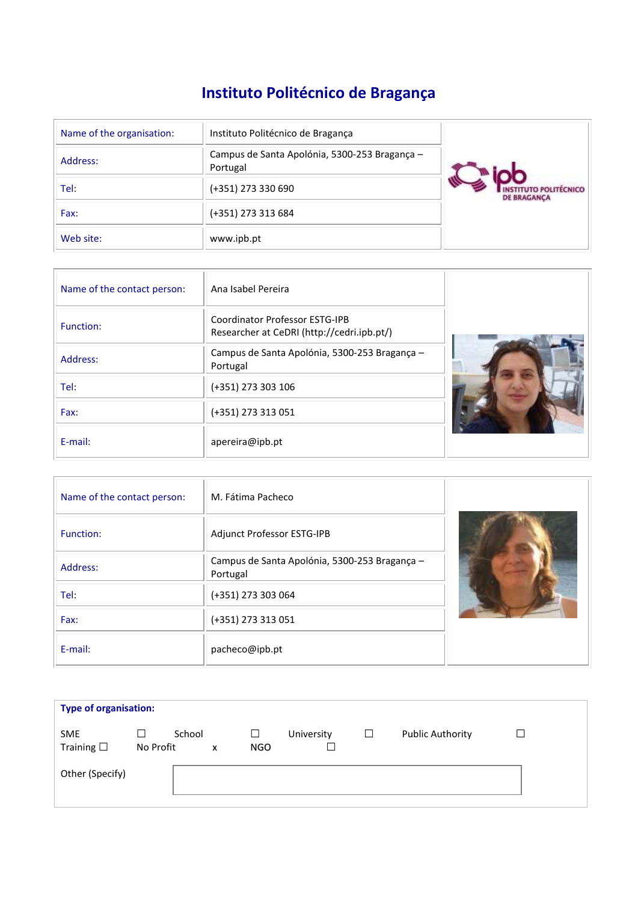# **Instituto Politécnico de Bragança**

| Name of the organisation: | Instituto Politécnico de Bragança                         |                                            |
|---------------------------|-----------------------------------------------------------|--------------------------------------------|
| Address:                  | Campus de Santa Apolónia, 5300-253 Bragança -<br>Portugal |                                            |
| Tel:                      | (+351) 273 330 690                                        | <b>D POLITÉCNICO</b><br><b>DE BRAGANCA</b> |
| Fax:                      | (+351) 273 313 684                                        |                                            |
| Web site:                 | www.ipb.pt                                                |                                            |

| Name of the contact person: | Ana Isabel Pereira                                                                  |  |
|-----------------------------|-------------------------------------------------------------------------------------|--|
| Function:                   | <b>Coordinator Professor ESTG-IPB</b><br>Researcher at CeDRI (http://cedri.ipb.pt/) |  |
| Address:                    | Campus de Santa Apolónia, 5300-253 Bragança -<br>Portugal                           |  |
| Tel:                        | (+351) 273 303 106                                                                  |  |
| Fax:                        | (+351) 273 313 051                                                                  |  |
| E-mail:                     | apereira@ipb.pt                                                                     |  |

| Name of the contact person: | M. Fátima Pacheco                                         |  |
|-----------------------------|-----------------------------------------------------------|--|
| Function:                   | Adjunct Professor ESTG-IPB                                |  |
| Address:                    | Campus de Santa Apolónia, 5300-253 Bragança -<br>Portugal |  |
| Tel:                        | (+351) 273 303 064                                        |  |
| Fax:                        | (+351) 273 313 051                                        |  |
| E-mail:                     | pacheco@ipb.pt                                            |  |

| <b>Type of organisation:</b>     |                |        |   |          |            |        |                         |        |
|----------------------------------|----------------|--------|---|----------|------------|--------|-------------------------|--------|
| <b>SME</b><br>Training $\square$ | ⊔<br>No Profit | School | x | ப<br>NGO | University | $\Box$ | <b>Public Authority</b> | $\Box$ |
| Other (Specify)                  |                |        |   |          |            |        |                         |        |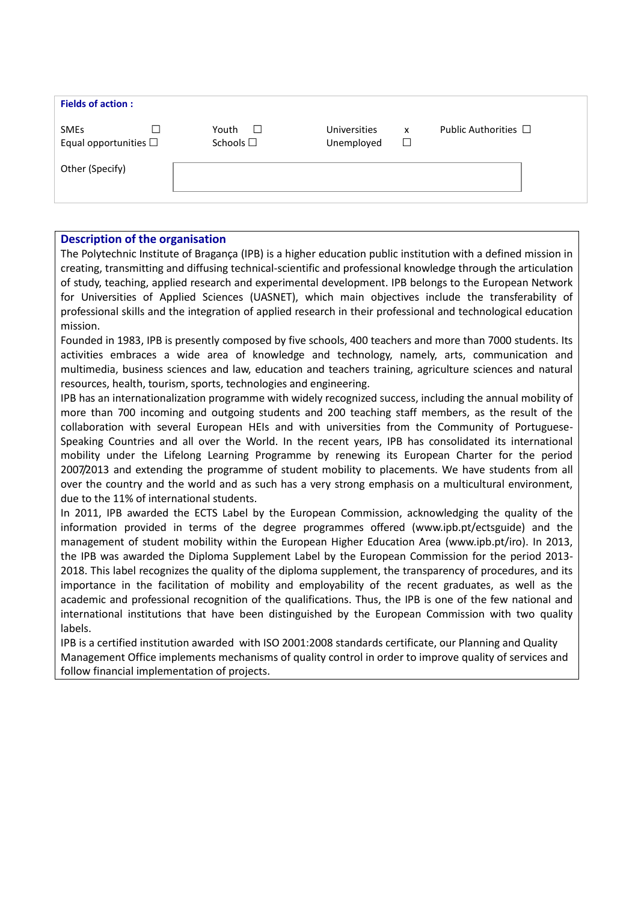| Public Authorities $\Box$<br>Youth<br><b>Universities</b><br><b>SMEs</b><br>$\Box$<br>x<br>Schools $\square$<br>Equal opportunities $\square$<br>□<br>Unemployed<br>Other (Specify) | <b>Fields of action:</b> |  |  |
|-------------------------------------------------------------------------------------------------------------------------------------------------------------------------------------|--------------------------|--|--|
|                                                                                                                                                                                     |                          |  |  |
|                                                                                                                                                                                     |                          |  |  |

### **Description of the organisation**

The Polytechnic Institute of Bragança (IPB) is a higher education public institution with a defined mission in creating, transmitting and diffusing technical-scientific and professional knowledge through the articulation of study, teaching, applied research and experimental development. IPB belongs to the European Network for Universities of Applied Sciences (UASNET), which main objectives include the transferability of professional skills and the integration of applied research in their professional and technological education mission.

Founded in 1983, IPB is presently composed by five schools, 400 teachers and more than 7000 students. Its activities embraces a wide area of knowledge and technology, namely, arts, communication and multimedia, business sciences and law, education and teachers training, agriculture sciences and natural resources, health, tourism, sports, technologies and engineering.

IPB has an internationalization programme with widely recognized success, including the annual mobility of more than 700 incoming and outgoing students and 200 teaching staff members, as the result of the collaboration with several European HEIs and with universities from the Community of Portuguese-Speaking Countries and all over the World. In the recent years, IPB has consolidated its international mobility under the Lifelong Learning Programme by renewing its European Charter for the period 2007/2013 and extending the programme of student mobility to placements. We have students from all over the country and the world and as such has a very strong emphasis on a multicultural environment, due to the 11% of international students.

In 2011, IPB awarded the ECTS Label by the European Commission, acknowledging the quality of the information provided in terms of the degree programmes offered (www.ipb.pt/ectsguide) and the management of student mobility within the European Higher Education Area (www.ipb.pt/iro). In 2013, the IPB was awarded the Diploma Supplement Label by the European Commission for the period 2013- 2018. This label recognizes the quality of the diploma supplement, the transparency of procedures, and its importance in the facilitation of mobility and employability of the recent graduates, as well as the academic and professional recognition of the qualifications. Thus, the IPB is one of the few national and international institutions that have been distinguished by the European Commission with two quality labels.

IPB is a certified institution awarded with ISO 2001:2008 standards certificate, our Planning and Quality Management Office implements mechanisms of quality control in order to improve quality of services and follow financial implementation of projects.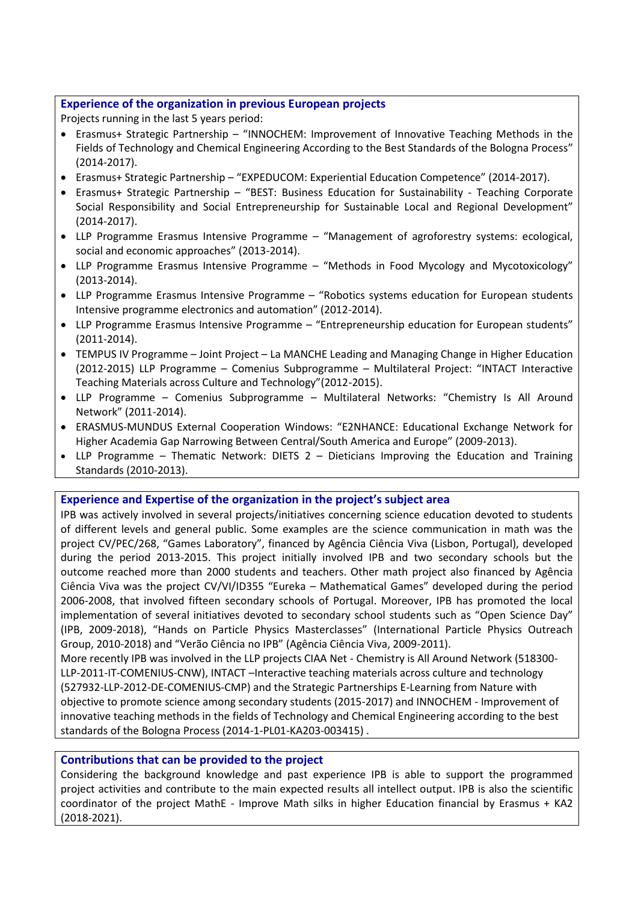# **Experience of the organization in previous European projects**

Projects running in the last 5 years period:

- Erasmus+ Strategic Partnership "INNOCHEM: Improvement of Innovative Teaching Methods in the Fields of Technology and Chemical Engineering According to the Best Standards of the Bologna Process" (2014-2017).
- Erasmus+ Strategic Partnership "EXPEDUCOM: Experiential Education Competence" (2014-2017).
- Erasmus+ Strategic Partnership "BEST: Business Education for Sustainability Teaching Corporate Social Responsibility and Social Entrepreneurship for Sustainable Local and Regional Development" (2014-2017).
- LLP Programme Erasmus Intensive Programme "Management of agroforestry systems: ecological, social and economic approaches" (2013-2014).
- LLP Programme Erasmus Intensive Programme "Methods in Food Mycology and Mycotoxicology" (2013-2014).
- LLP Programme Erasmus Intensive Programme "Robotics systems education for European students Intensive programme electronics and automation" (2012-2014).
- LLP Programme Erasmus Intensive Programme "Entrepreneurship education for European students" (2011-2014).
- TEMPUS IV Programme Joint Project La MANCHE Leading and Managing Change in Higher Education (2012-2015) LLP Programme – Comenius Subprogramme – Multilateral Project: "INTACT Interactive Teaching Materials across Culture and Technology"(2012-2015).
- LLP Programme Comenius Subprogramme Multilateral Networks: "Chemistry Is All Around Network" (2011-2014).
- ERASMUS-MUNDUS External Cooperation Windows: "E2NHANCE: Educational Exchange Network for Higher Academia Gap Narrowing Between Central/South America and Europe" (2009-2013).
- LLP Programme Thematic Network: DIETS 2 Dieticians Improving the Education and Training Standards (2010-2013).

**Experience and Expertise of the organization in the project's subject area**

IPB was actively involved in several projects/initiatives concerning science education devoted to students of different levels and general public. Some examples are the science communication in math was the project CV/PEC/268, "Games Laboratory", financed by Agência Ciência Viva (Lisbon, Portugal), developed during the period 2013-2015. This project initially involved IPB and two secondary schools but the outcome reached more than 2000 students and teachers. Other math project also financed by Agência Ciência Viva was the project CV/VI/ID355 "Eureka – Mathematical Games" developed during the period 2006-2008, that involved fifteen secondary schools of Portugal. Moreover, IPB has promoted the local implementation of several initiatives devoted to secondary school students such as "Open Science Day" (IPB, 2009-2018), "Hands on Particle Physics Masterclasses" (International Particle Physics Outreach Group, 2010-2018) and "Verão Ciência no IPB" (Agência Ciência Viva, 2009-2011).

More recently IPB was involved in the LLP projects CIAA Net - Chemistry is All Around Network (518300- LLP-2011-IT-COMENIUS-CNW), INTACT –Interactive teaching materials across culture and technology (527932-LLP-2012-DE-COMENIUS-CMP) and the Strategic Partnerships E-Learning from Nature with objective to promote science among secondary students (2015-2017) and INNOCHEM - Improvement of innovative teaching methods in the fields of Technology and Chemical Engineering according to the best standards of the Bologna Process (2014-1-PL01-KA203-003415) .

## **Contributions that can be provided to the project**

Considering the background knowledge and past experience IPB is able to support the programmed project activities and contribute to the main expected results all intellect output. IPB is also the scientific coordinator of the project MathE - Improve Math silks in higher Education financial by Erasmus + KA2 (2018-2021).